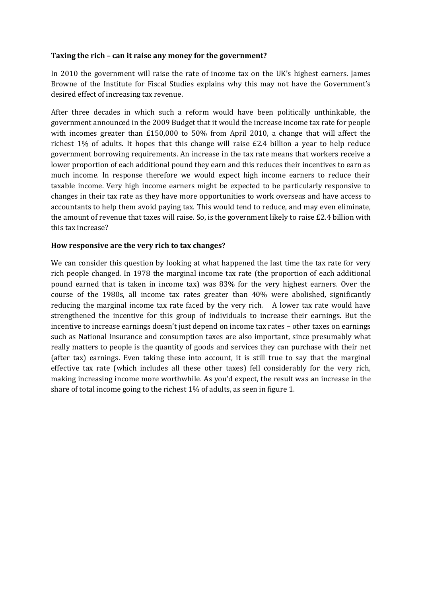## **Taxing the rich – can it raise any money for the government?**

In 2010 the government will raise the rate of income tax on the UK's highest earners. James Browne of the Institute for Fiscal Studies explains why this may not have the Government's desired effect of increasing tax revenue.

After three decades in which such a reform would have been politically unthinkable, the government announced in the 2009 Budget that it would the increase income tax rate for people with incomes greater than £150,000 to 50% from April 2010, a change that will affect the richest 1% of adults. It hopes that this change will raise £2.4 billion a year to help reduce government borrowing requirements. An increase in the tax rate means that workers receive a lower proportion of each additional pound they earn and this reduces their incentives to earn as much income. In response therefore we would expect high income earners to reduce their taxable income. Very high income earners might be expected to be particularly responsive to changes in their tax rate as they have more opportunities to work overseas and have access to accountants to help them avoid paying tax. This would tend to reduce, and may even eliminate, the amount of revenue that taxes will raise. So, is the government likely to raise  $E2.4$  billion with this tax increase?

## **How responsive are the very rich to tax changes?**

We can consider this question by looking at what happened the last time the tax rate for very rich people changed. In 1978 the marginal income tax rate (the proportion of each additional pound earned that is taken in income tax) was 83% for the very highest earners. Over the course of the 1980s, all income tax rates greater than 40% were abolished, significantly reducing the marginal income tax rate faced by the very rich. A lower tax rate would have strengthened the incentive for this group of individuals to increase their earnings. But the incentive to increase earnings doesn't just depend on income tax rates – other taxes on earnings such as National Insurance and consumption taxes are also important, since presumably what really matters to people is the quantity of goods and services they can purchase with their net (after tax) earnings. Even taking these into account, it is still true to say that the marginal effective tax rate (which includes all these other taxes) fell considerably for the very rich, making increasing income more worthwhile. As you'd expect, the result was an increase in the share of total income going to the richest 1% of adults, as seen in figure 1.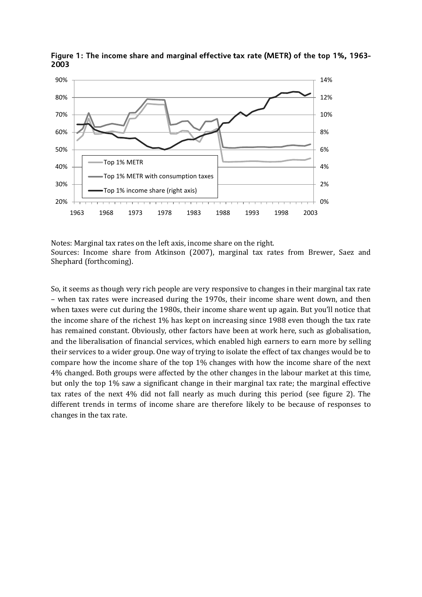

Figure 1: The income share and marginal effective tax rate (METR) of the top 1%, 1963-2003

Notes: Marginal tax rates on the left axis, income share on the right. Sources: Income share from Atkinson (2007), marginal tax rates from Brewer, Saez and Shephard (forthcoming).

So, it seems as though very rich people are very responsive to changes in their marginal tax rate – when tax rates were increased during the 1970s, their income share went down, and then when taxes were cut during the 1980s, their income share went up again. But you'll notice that the income share of the richest 1% has kept on increasing since 1988 even though the tax rate has remained constant. Obviously, other factors have been at work here, such as globalisation, and the liberalisation of financial services, which enabled high earners to earn more by selling their services to a wider group. One way of trying to isolate the effect of tax changes would be to compare how the income share of the top 1% changes with how the income share of the next 4% changed. Both groups were affected by the other changes in the labour market at this time, but only the top 1% saw a significant change in their marginal tax rate; the marginal effective tax rates of the next 4% did not fall nearly as much during this period (see figure 2). The different trends in terms of income share are therefore likely to be because of responses to changes in the tax rate.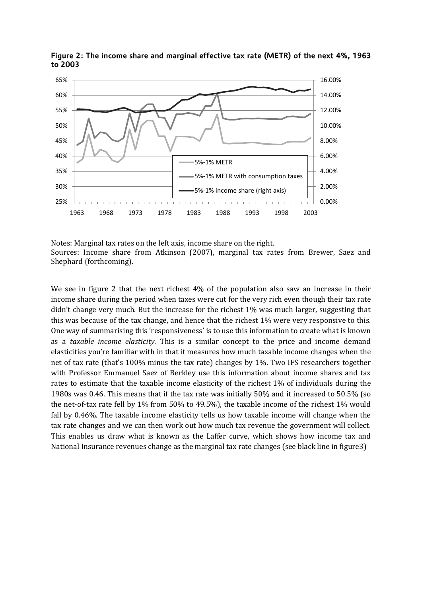

Figure 2: The income share and marginal effective tax rate (METR) of the next 4%, 1963 to 2003

Notes: Marginal tax rates on the left axis, income share on the right. Sources: Income share from Atkinson (2007), marginal tax rates from Brewer, Saez and Shephard (forthcoming).

We see in figure 2 that the next richest 4% of the population also saw an increase in their income share during the period when taxes were cut for the very rich even though their tax rate didn't change very much. But the increase for the richest 1% was much larger, suggesting that this was because of the tax change, and hence that the richest 1% were very responsive to this. One way of summarising this 'responsiveness' is to use this information to create what is known as a *taxable income elasticity*. This is a similar concept to the price and income demand elasticities you're familiar with in that it measures how much taxable income changes when the net of tax rate (that's 100% minus the tax rate) changes by 1%. Two IFS researchers together with Professor Emmanuel Saez of Berkley use this information about income shares and tax rates to estimate that the taxable income elasticity of the richest 1% of individuals during the 1980s was 0.46. This means that if the tax rate was initially 50% and it increased to 50.5% (so the net-of-tax rate fell by 1% from 50% to 49.5%), the taxable income of the richest 1% would fall by 0.46%. The taxable income elasticity tells us how taxable income will change when the tax rate changes and we can then work out how much tax revenue the government will collect. This enables us draw what is known as the Laffer curve, which shows how income tax and National Insurance revenues change as the marginal tax rate changes (see black line in figure3)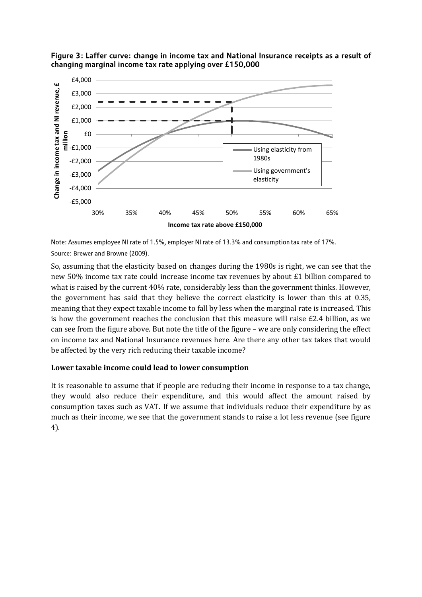

Figure 3: Laffer curve: change in income tax and National Insurance receipts as a result of changing marginal income tax rate applying over £150,000

Note: Assumes employee NI rate of 1.5%, employer NI rate of 13.3% and consumption tax rate of 17%. Source: Brewer and Browne (2009).

So, assuming that the elasticity based on changes during the 1980s is right, we can see that the new 50% income tax rate could increase income tax revenues by about £1 billion compared to what is raised by the current 40% rate, considerably less than the government thinks. However, the government has said that they believe the correct elasticity is lower than this at 0.35, meaning that they expect taxable income to fall by less when the marginal rate is increased. This is how the government reaches the conclusion that this measure will raise £2.4 billion, as we can see from the figure above. But note the title of the figure – we are only considering the effect on income tax and National Insurance revenues here. Are there any other tax takes that would be affected by the very rich reducing their taxable income?

## **Lower taxable income could lead to lower consumption**

It is reasonable to assume that if people are reducing their income in response to a tax change, they would also reduce their expenditure, and this would affect the amount raised by consumption taxes such as VAT. If we assume that individuals reduce their expenditure by as much as their income, we see that the government stands to raise a lot less revenue (see figure 4).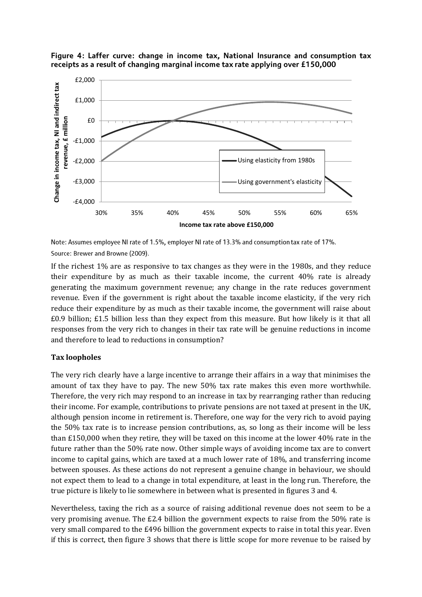

Figure 4: Laffer curve: change in income tax, National Insurance and consumption tax receipts as a result of changing marginal income tax rate applying over £150,000

Note: Assumes employee NI rate of 1.5%, employer NI rate of 13.3% and consumption tax rate of 17%. Source: Brewer and Browne (2009).

If the richest 1% are as responsive to tax changes as they were in the 1980s, and they reduce their expenditure by as much as their taxable income, the current 40% rate is already generating the maximum government revenue; any change in the rate reduces government revenue. Even if the government is right about the taxable income elasticity, if the very rich reduce their expenditure by as much as their taxable income, the government will raise about £0.9 billion; £1.5 billion less than they expect from this measure. But how likely is it that all responses from the very rich to changes in their tax rate will be genuine reductions in income and therefore to lead to reductions in consumption?

## **Tax loopholes**

The very rich clearly have a large incentive to arrange their affairs in a way that minimises the amount of tax they have to pay. The new 50% tax rate makes this even more worthwhile. Therefore, the very rich may respond to an increase in tax by rearranging rather than reducing their income. For example, contributions to private pensions are not taxed at present in the UK, although pension income in retirement is. Therefore, one way for the very rich to avoid paying the 50% tax rate is to increase pension contributions, as, so long as their income will be less than £150,000 when they retire, they will be taxed on this income at the lower 40% rate in the future rather than the 50% rate now. Other simple ways of avoiding income tax are to convert income to capital gains, which are taxed at a much lower rate of 18%, and transferring income between spouses. As these actions do not represent a genuine change in behaviour, we should not expect them to lead to a change in total expenditure, at least in the long run. Therefore, the true picture is likely to lie somewhere in between what is presented in figures 3 and 4.

Nevertheless, taxing the rich as a source of raising additional revenue does not seem to be a very promising avenue. The £2.4 billion the government expects to raise from the 50% rate is very small compared to the £496 billion the government expects to raise in total this year. Even if this is correct, then figure 3 shows that there is little scope for more revenue to be raised by